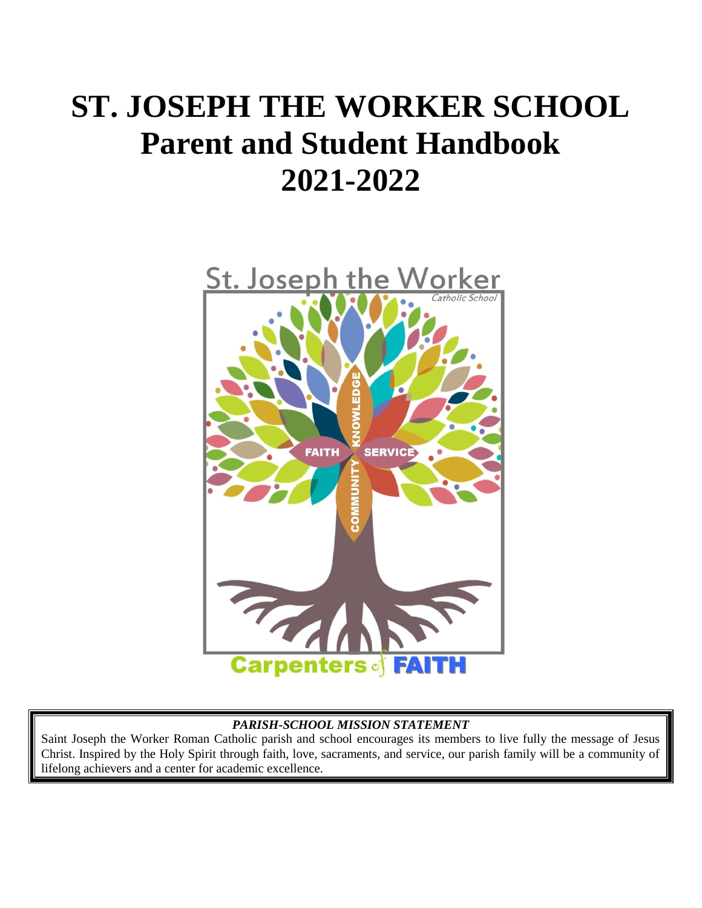# **ST. JOSEPH THE WORKER SCHOOL Parent and Student Handbook 2021-2022**



#### *PARISH-SCHOOL MISSION STATEMENT*

Saint Joseph the Worker Roman Catholic parish and school encourages its members to live fully the message of Jesus Christ. Inspired by the Holy Spirit through faith, love, sacraments, and service, our parish family will be a community of lifelong achievers and a center for academic excellence.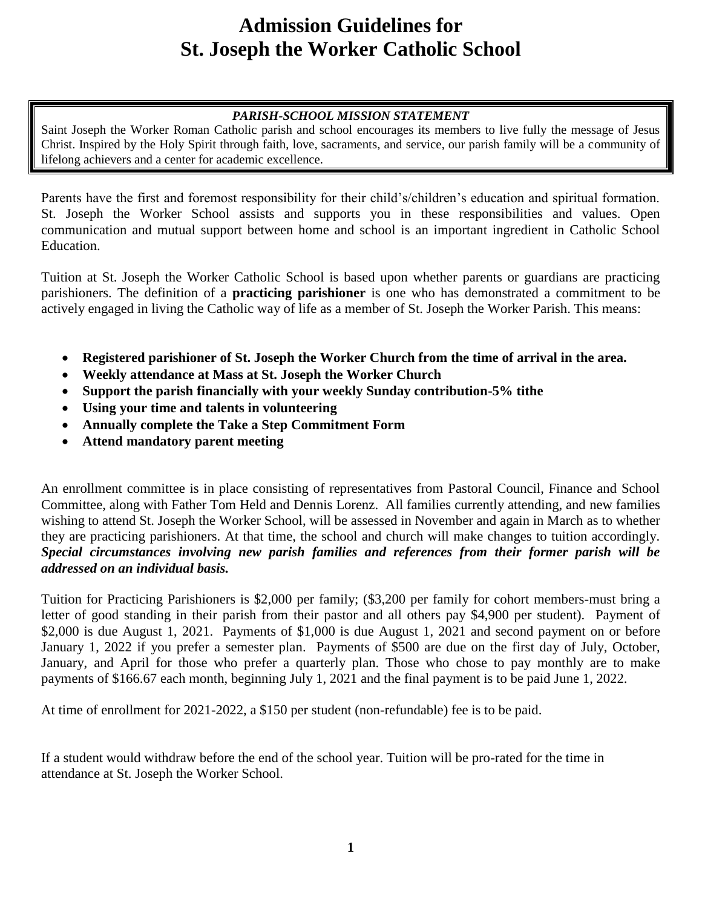# **Admission Guidelines for St. Joseph the Worker Catholic School**

#### *PARISH-SCHOOL MISSION STATEMENT*

Saint Joseph the Worker Roman Catholic parish and school encourages its members to live fully the message of Jesus Christ. Inspired by the Holy Spirit through faith, love, sacraments, and service, our parish family will be a community of lifelong achievers and a center for academic excellence.

Parents have the first and foremost responsibility for their child's/children's education and spiritual formation. St. Joseph the Worker School assists and supports you in these responsibilities and values. Open communication and mutual support between home and school is an important ingredient in Catholic School Education.

Tuition at St. Joseph the Worker Catholic School is based upon whether parents or guardians are practicing parishioners. The definition of a **practicing parishioner** is one who has demonstrated a commitment to be actively engaged in living the Catholic way of life as a member of St. Joseph the Worker Parish. This means:

- **Registered parishioner of St. Joseph the Worker Church from the time of arrival in the area.**
- **Weekly attendance at Mass at St. Joseph the Worker Church**
- **Support the parish financially with your weekly Sunday contribution-5% tithe**
- **Using your time and talents in volunteering**
- **Annually complete the Take a Step Commitment Form**
- **Attend mandatory parent meeting**

An enrollment committee is in place consisting of representatives from Pastoral Council, Finance and School Committee, along with Father Tom Held and Dennis Lorenz. All families currently attending, and new families wishing to attend St. Joseph the Worker School, will be assessed in November and again in March as to whether they are practicing parishioners. At that time, the school and church will make changes to tuition accordingly. *Special circumstances involving new parish families and references from their former parish will be addressed on an individual basis.*

Tuition for Practicing Parishioners is \$2,000 per family; (\$3,200 per family for cohort members-must bring a letter of good standing in their parish from their pastor and all others pay \$4,900 per student). Payment of \$2,000 is due August 1, 2021. Payments of \$1,000 is due August 1, 2021 and second payment on or before January 1, 2022 if you prefer a semester plan. Payments of \$500 are due on the first day of July, October, January, and April for those who prefer a quarterly plan. Those who chose to pay monthly are to make payments of \$166.67 each month, beginning July 1, 2021 and the final payment is to be paid June 1, 2022.

At time of enrollment for 2021-2022, a \$150 per student (non-refundable) fee is to be paid.

If a student would withdraw before the end of the school year. Tuition will be pro-rated for the time in attendance at St. Joseph the Worker School.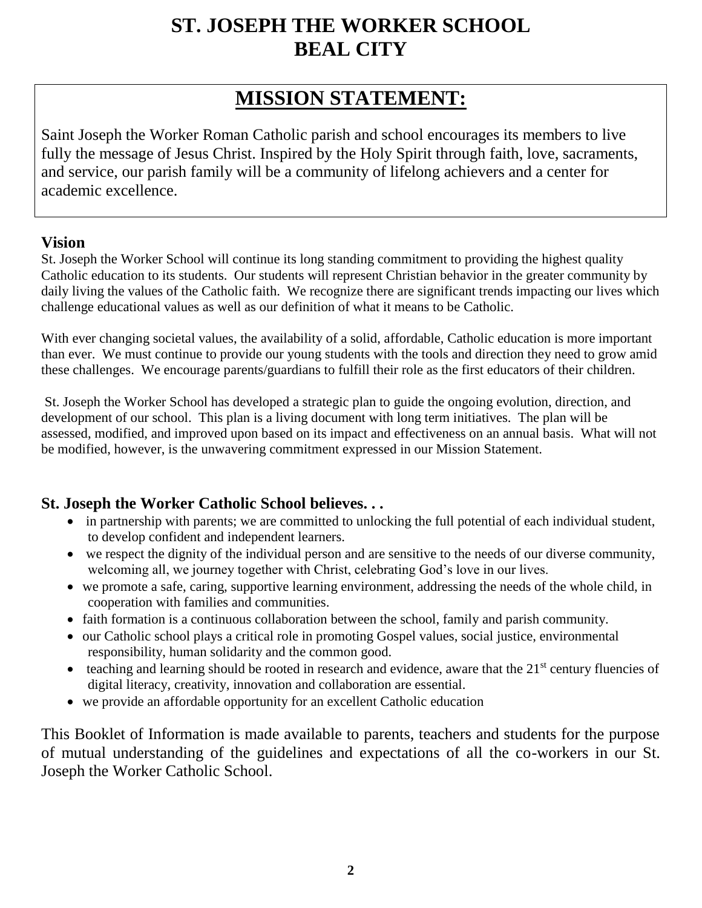# **ST. JOSEPH THE WORKER SCHOOL BEAL CITY**

# **MISSION STATEMENT:**

Saint Joseph the Worker Roman Catholic parish and school encourages its members to live fully the message of Jesus Christ. Inspired by the Holy Spirit through faith, love, sacraments, and service, our parish family will be a community of lifelong achievers and a center for academic excellence.

#### **Vision**

St. Joseph the Worker School will continue its long standing commitment to providing the highest quality Catholic education to its students. Our students will represent Christian behavior in the greater community by daily living the values of the Catholic faith. We recognize there are significant trends impacting our lives which challenge educational values as well as our definition of what it means to be Catholic.

With ever changing societal values, the availability of a solid, affordable, Catholic education is more important than ever. We must continue to provide our young students with the tools and direction they need to grow amid these challenges. We encourage parents/guardians to fulfill their role as the first educators of their children.

St. Joseph the Worker School has developed a strategic plan to guide the ongoing evolution, direction, and development of our school. This plan is a living document with long term initiatives. The plan will be assessed, modified, and improved upon based on its impact and effectiveness on an annual basis. What will not be modified, however, is the unwavering commitment expressed in our Mission Statement.

## **St. Joseph the Worker Catholic School believes. . .**

- in partnership with parents; we are committed to unlocking the full potential of each individual student, to develop confident and independent learners.
- we respect the dignity of the individual person and are sensitive to the needs of our diverse community, welcoming all, we journey together with Christ, celebrating God's love in our lives.
- we promote a safe, caring, supportive learning environment, addressing the needs of the whole child, in cooperation with families and communities.
- faith formation is a continuous collaboration between the school, family and parish community.
- our Catholic school plays a critical role in promoting Gospel values, social justice, environmental responsibility, human solidarity and the common good.
- $\bullet$  teaching and learning should be rooted in research and evidence, aware that the  $21<sup>st</sup>$  century fluencies of digital literacy, creativity, innovation and collaboration are essential.
- we provide an affordable opportunity for an excellent Catholic education

This Booklet of Information is made available to parents, teachers and students for the purpose of mutual understanding of the guidelines and expectations of all the co-workers in our St. Joseph the Worker Catholic School.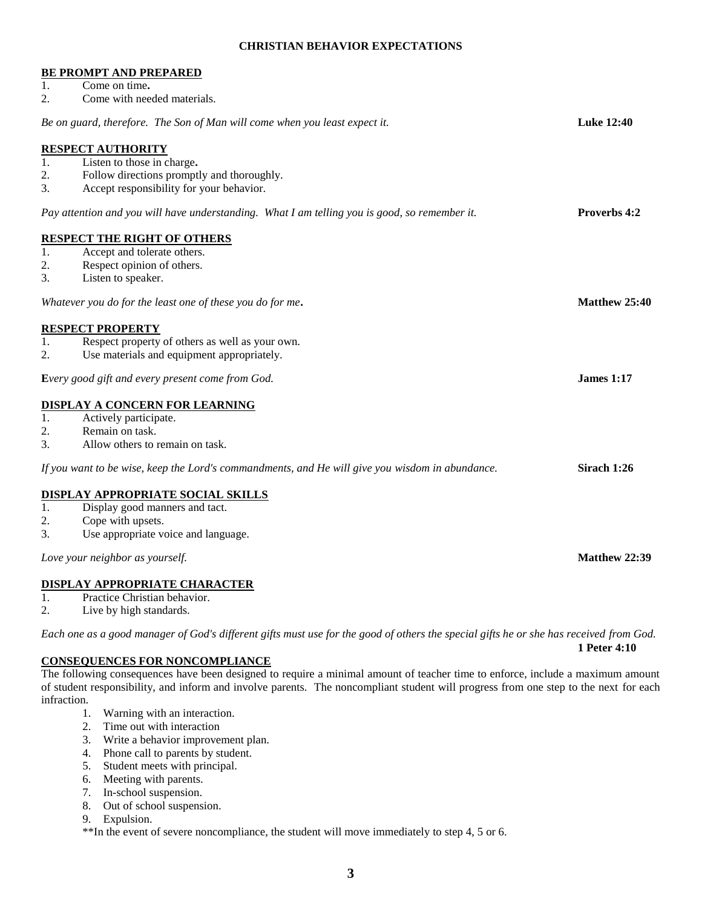#### **CHRISTIAN BEHAVIOR EXPECTATIONS**

|                                 | <b>BE PROMPT AND PREPARED</b>                                                                   |                     |
|---------------------------------|-------------------------------------------------------------------------------------------------|---------------------|
| 1.                              | Come on time.                                                                                   |                     |
| 2.                              | Come with needed materials.                                                                     |                     |
|                                 | Be on guard, therefore. The Son of Man will come when you least expect it.                      | <b>Luke 12:40</b>   |
|                                 | <b>RESPECT AUTHORITY</b>                                                                        |                     |
| 1.                              | Listen to those in charge.                                                                      |                     |
| 2.                              | Follow directions promptly and thoroughly.                                                      |                     |
| 3.                              | Accept responsibility for your behavior.                                                        |                     |
|                                 | Pay attention and you will have understanding. What I am telling you is good, so remember it.   | <b>Proverbs 4:2</b> |
|                                 | <b>RESPECT THE RIGHT OF OTHERS</b>                                                              |                     |
| 1.                              | Accept and tolerate others.                                                                     |                     |
| 2.                              | Respect opinion of others.                                                                      |                     |
| 3.                              | Listen to speaker.                                                                              |                     |
|                                 | Whatever you do for the least one of these you do for me.                                       | Matthew 25:40       |
|                                 | <b>RESPECT PROPERTY</b>                                                                         |                     |
| 1.                              | Respect property of others as well as your own.                                                 |                     |
| 2.                              | Use materials and equipment appropriately.                                                      |                     |
|                                 | Every good gift and every present come from God.                                                | <b>James 1:17</b>   |
|                                 | <b>DISPLAY A CONCERN FOR LEARNING</b>                                                           |                     |
| 1.                              | Actively participate.                                                                           |                     |
| 2.                              | Remain on task.                                                                                 |                     |
| 3.                              | Allow others to remain on task.                                                                 |                     |
|                                 | If you want to be wise, keep the Lord's commandments, and He will give you wisdom in abundance. | Sirach 1:26         |
|                                 | <b>DISPLAY APPROPRIATE SOCIAL SKILLS</b>                                                        |                     |
| 1.                              | Display good manners and tact.                                                                  |                     |
| 2.                              | Cope with upsets.                                                                               |                     |
| 3.                              | Use appropriate voice and language.                                                             |                     |
| Love your neighbor as yourself. |                                                                                                 |                     |
|                                 | <u>DISPLAY APPROPRIATE CHARACTER</u>                                                            |                     |
| 1.                              | Practice Christian behavior.                                                                    |                     |

2. Live by high standards.

*Each one as a good manager of God's different gifts must use for the good of others the special gifts he or she has received from God.*

**1 Peter 4:10**

#### **CONSEQUENCES FOR NONCOMPLIANCE**

The following consequences have been designed to require a minimal amount of teacher time to enforce, include a maximum amount of student responsibility, and inform and involve parents. The noncompliant student will progress from one step to the next for each infraction.

- 1. Warning with an interaction.
- 2. Time out with interaction
- 3. Write a behavior improvement plan.
- 4. Phone call to parents by student.
- 5. Student meets with principal.
- 6. Meeting with parents.
- 7. In-school suspension.
- 8. Out of school suspension.
- 9. Expulsion.

\*\*In the event of severe noncompliance, the student will move immediately to step 4, 5 or 6.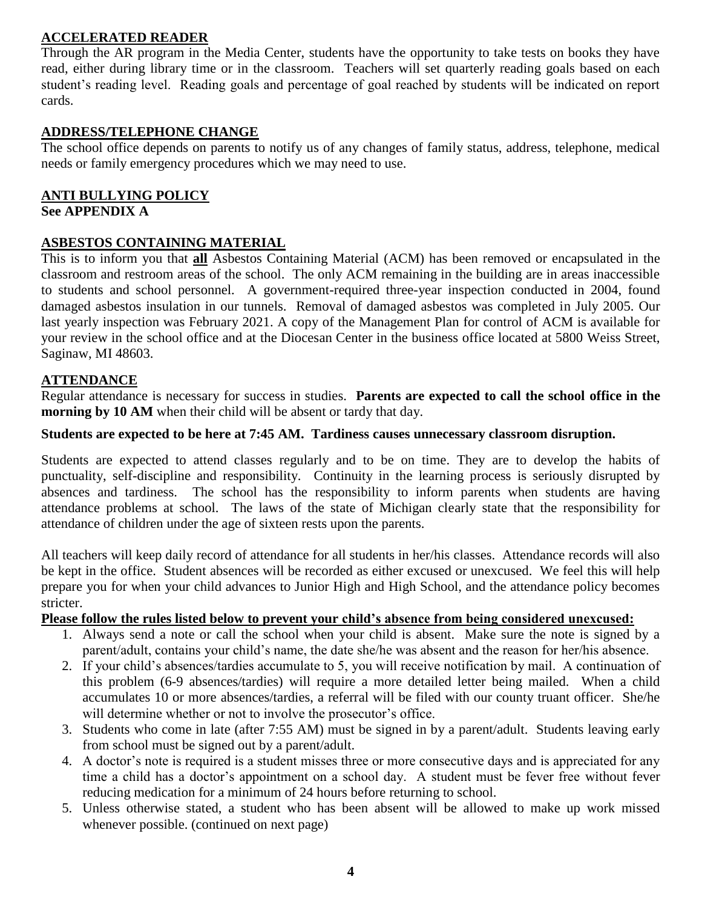#### **ACCELERATED READER**

Through the AR program in the Media Center, students have the opportunity to take tests on books they have read, either during library time or in the classroom. Teachers will set quarterly reading goals based on each student's reading level. Reading goals and percentage of goal reached by students will be indicated on report cards.

#### **ADDRESS/TELEPHONE CHANGE**

The school office depends on parents to notify us of any changes of family status, address, telephone, medical needs or family emergency procedures which we may need to use.

#### **ANTI BULLYING POLICY See APPENDIX A**

#### **ASBESTOS CONTAINING MATERIAL**

This is to inform you that **all** Asbestos Containing Material (ACM) has been removed or encapsulated in the classroom and restroom areas of the school. The only ACM remaining in the building are in areas inaccessible to students and school personnel. A government-required three-year inspection conducted in 2004, found damaged asbestos insulation in our tunnels. Removal of damaged asbestos was completed in July 2005. Our last yearly inspection was February 2021. A copy of the Management Plan for control of ACM is available for your review in the school office and at the Diocesan Center in the business office located at 5800 Weiss Street, Saginaw, MI 48603.

#### **ATTENDANCE**

Regular attendance is necessary for success in studies. **Parents are expected to call the school office in the morning by 10 AM** when their child will be absent or tardy that day.

#### **Students are expected to be here at 7:45 AM. Tardiness causes unnecessary classroom disruption.**

Students are expected to attend classes regularly and to be on time. They are to develop the habits of punctuality, self-discipline and responsibility. Continuity in the learning process is seriously disrupted by absences and tardiness. The school has the responsibility to inform parents when students are having attendance problems at school. The laws of the state of Michigan clearly state that the responsibility for attendance of children under the age of sixteen rests upon the parents.

All teachers will keep daily record of attendance for all students in her/his classes. Attendance records will also be kept in the office. Student absences will be recorded as either excused or unexcused. We feel this will help prepare you for when your child advances to Junior High and High School, and the attendance policy becomes stricter.

#### **Please follow the rules listed below to prevent your child's absence from being considered unexcused:**

- 1. Always send a note or call the school when your child is absent. Make sure the note is signed by a parent/adult, contains your child's name, the date she/he was absent and the reason for her/his absence.
- 2. If your child's absences/tardies accumulate to 5, you will receive notification by mail. A continuation of this problem (6-9 absences/tardies) will require a more detailed letter being mailed. When a child accumulates 10 or more absences/tardies, a referral will be filed with our county truant officer. She/he will determine whether or not to involve the prosecutor's office.
- 3. Students who come in late (after 7:55 AM) must be signed in by a parent/adult. Students leaving early from school must be signed out by a parent/adult.
- 4. A doctor's note is required is a student misses three or more consecutive days and is appreciated for any time a child has a doctor's appointment on a school day. A student must be fever free without fever reducing medication for a minimum of 24 hours before returning to school.
- 5. Unless otherwise stated, a student who has been absent will be allowed to make up work missed whenever possible. (continued on next page)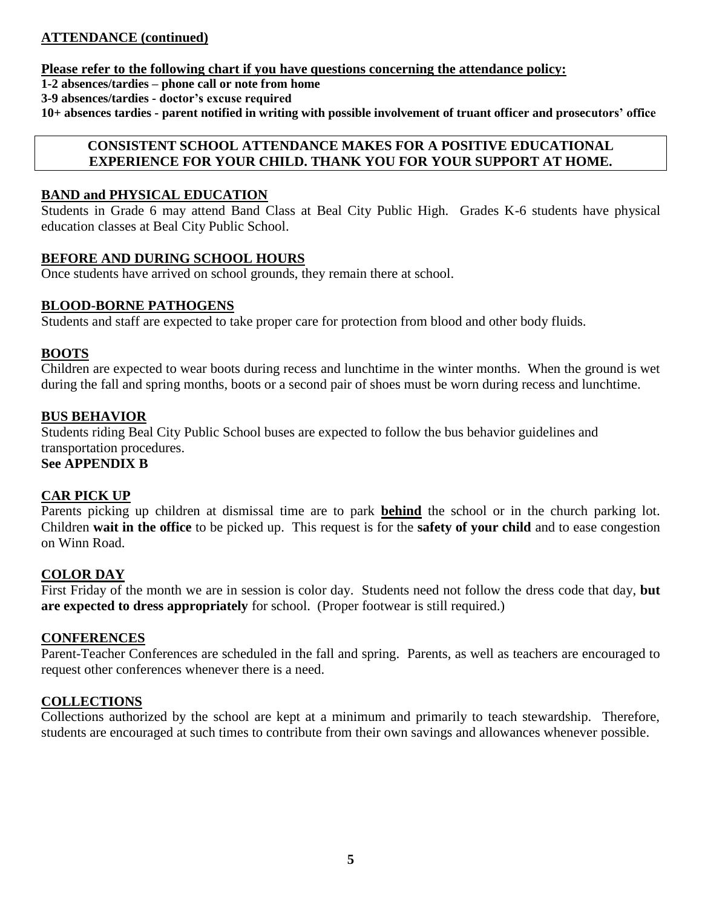#### **ATTENDANCE (continued)**

#### **Please refer to the following chart if you have questions concerning the attendance policy:**

**1-2 absences/tardies – phone call or note from home** 

**3-9 absences/tardies - doctor's excuse required**

**10+ absences tardies - parent notified in writing with possible involvement of truant officer and prosecutors' office**

#### **CONSISTENT SCHOOL ATTENDANCE MAKES FOR A POSITIVE EDUCATIONAL EXPERIENCE FOR YOUR CHILD. THANK YOU FOR YOUR SUPPORT AT HOME.**

#### **BAND and PHYSICAL EDUCATION**

Students in Grade 6 may attend Band Class at Beal City Public High. Grades K-6 students have physical education classes at Beal City Public School.

#### **BEFORE AND DURING SCHOOL HOURS**

Once students have arrived on school grounds, they remain there at school.

#### **BLOOD-BORNE PATHOGENS**

Students and staff are expected to take proper care for protection from blood and other body fluids.

#### **BOOTS**

Children are expected to wear boots during recess and lunchtime in the winter months. When the ground is wet during the fall and spring months, boots or a second pair of shoes must be worn during recess and lunchtime.

#### **BUS BEHAVIOR**

Students riding Beal City Public School buses are expected to follow the bus behavior guidelines and transportation procedures.

#### **See APPENDIX B**

#### **CAR PICK UP**

Parents picking up children at dismissal time are to park **behind** the school or in the church parking lot. Children **wait in the office** to be picked up. This request is for the **safety of your child** and to ease congestion on Winn Road.

#### **COLOR DAY**

First Friday of the month we are in session is color day. Students need not follow the dress code that day, **but are expected to dress appropriately** for school. (Proper footwear is still required.)

#### **CONFERENCES**

Parent-Teacher Conferences are scheduled in the fall and spring. Parents, as well as teachers are encouraged to request other conferences whenever there is a need.

#### **COLLECTIONS**

Collections authorized by the school are kept at a minimum and primarily to teach stewardship. Therefore, students are encouraged at such times to contribute from their own savings and allowances whenever possible.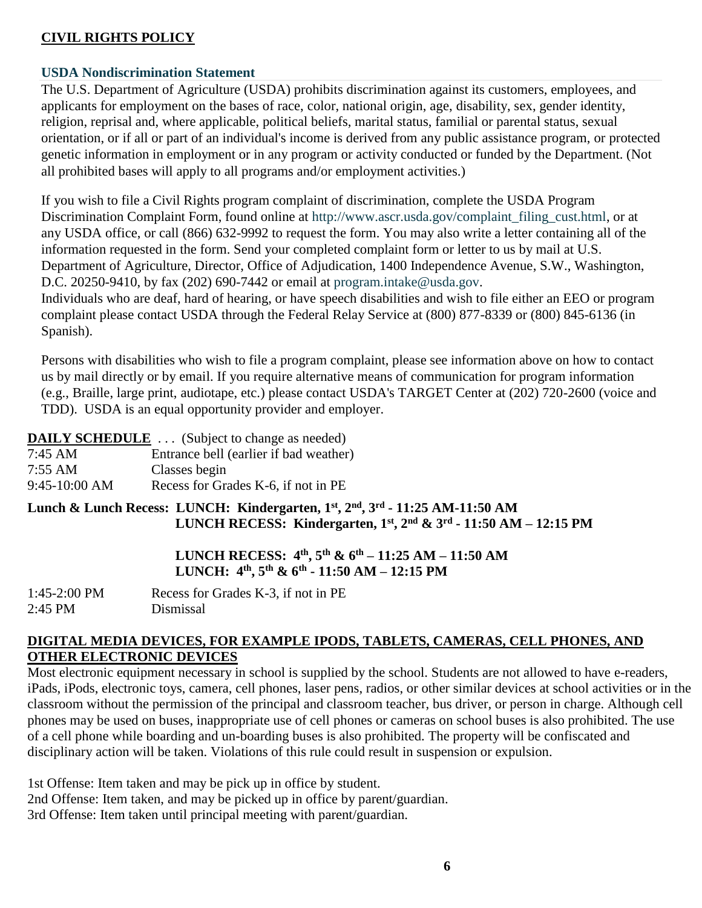#### **CIVIL RIGHTS POLICY**

#### **USDA Nondiscrimination Statement**

The U.S. Department of Agriculture (USDA) prohibits discrimination against its customers, employees, and applicants for employment on the bases of race, color, national origin, age, disability, sex, gender identity, religion, reprisal and, where applicable, political beliefs, marital status, familial or parental status, sexual orientation, or if all or part of an individual's income is derived from any public assistance program, or protected genetic information in employment or in any program or activity conducted or funded by the Department. (Not all prohibited bases will apply to all programs and/or employment activities.)

If you wish to file a Civil Rights program complaint of discrimination, complete the USDA Program Discrimination Complaint Form, found online at [http://www.ascr.usda.gov/complaint\\_filing\\_cust.html,](http://www.ascr.usda.gov/complaint_filing_cust.html) or at any USDA office, or call (866) 632-9992 to request the form. You may also write a letter containing all of the information requested in the form. Send your completed complaint form or letter to us by mail at U.S. Department of Agriculture, Director, Office of Adjudication, 1400 Independence Avenue, S.W., Washington, D.C. 20250-9410, by fax (202) 690-7442 or email at [program.intake@usda.gov.](http://program.intake@usda.gov/)

Individuals who are deaf, hard of hearing, or have speech disabilities and wish to file either an EEO or program complaint please contact USDA through the Federal Relay Service at (800) 877-8339 or (800) 845-6136 (in Spanish).

Persons with disabilities who wish to file a program complaint, please see information above on how to contact us by mail directly or by email. If you require alternative means of communication for program information (e.g., Braille, large print, audiotape, etc.) please contact USDA's TARGET Center at (202) 720-2600 (voice and TDD). USDA is an equal opportunity provider and employer.

#### **DAILY SCHEDULE** ... (Subject to change as needed)

| 7:45 AM | Entrance bell (earlier if bad weather) |
|---------|----------------------------------------|
| 7:55 AM | Classes begin                          |

| 7.33 A.W      | Classes begin                       |
|---------------|-------------------------------------|
| 9:45-10:00 AM | Recess for Grades K-6, if not in PE |

#### **Lunch & Lunch Recess: LUNCH: Kindergarten, 1st, 2nd, 3rd - 11:25 AM-11:50 AM LUNCH RECESS: Kindergarten, 1st, 2nd & 3rd - 11:50 AM – 12:15 PM**

## **LUNCH RECESS: 4th, 5th & 6th – 11:25 AM – 11:50 AM LUNCH: 4 th, 5th & 6 th - 11:50 AM – 12:15 PM**

| $1:45-2:00$ PM | Recess for Grades K-3, if not in PE |
|----------------|-------------------------------------|
| 2:45 PM        | Dismissal                           |

#### **DIGITAL MEDIA DEVICES, FOR EXAMPLE IPODS, TABLETS, CAMERAS, CELL PHONES, AND OTHER ELECTRONIC DEVICES**

Most electronic equipment necessary in school is supplied by the school. Students are not allowed to have e-readers, iPads, iPods, electronic toys, camera, cell phones, laser pens, radios, or other similar devices at school activities or in the classroom without the permission of the principal and classroom teacher, bus driver, or person in charge. Although cell phones may be used on buses, inappropriate use of cell phones or cameras on school buses is also prohibited. The use of a cell phone while boarding and un-boarding buses is also prohibited. The property will be confiscated and disciplinary action will be taken. Violations of this rule could result in suspension or expulsion.

1st Offense: Item taken and may be pick up in office by student. 2nd Offense: Item taken, and may be picked up in office by parent/guardian. 3rd Offense: Item taken until principal meeting with parent/guardian.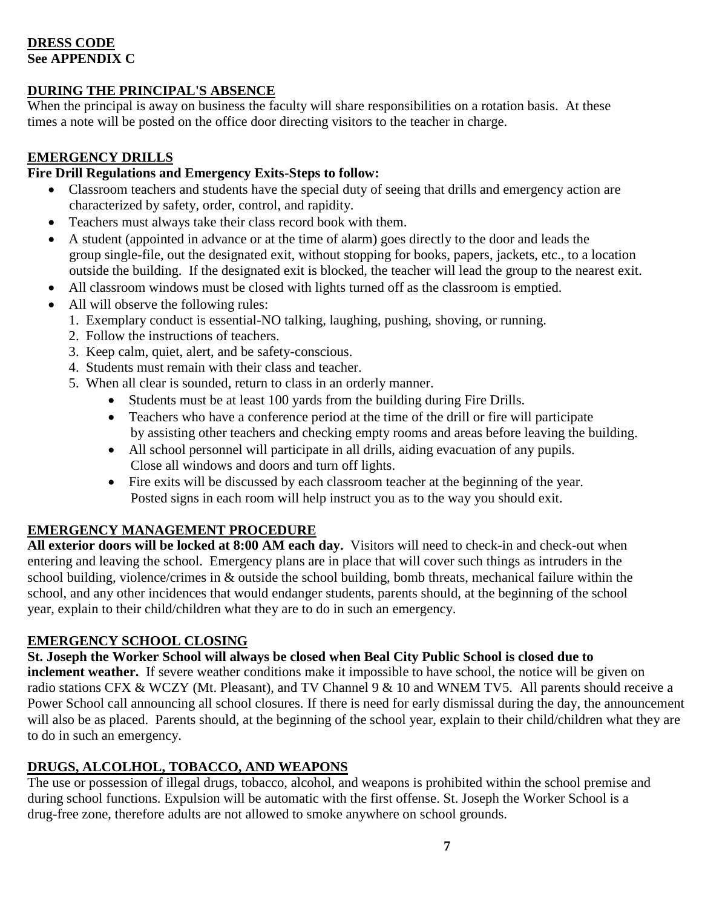#### **DRESS CODE See APPENDIX C**

#### **DURING THE PRINCIPAL'S ABSENCE**

When the principal is away on business the faculty will share responsibilities on a rotation basis. At these times a note will be posted on the office door directing visitors to the teacher in charge.

#### **EMERGENCY DRILLS**

## **Fire Drill Regulations and Emergency Exits-Steps to follow:**

- Classroom teachers and students have the special duty of seeing that drills and emergency action are characterized by safety, order, control, and rapidity.
- Teachers must always take their class record book with them.
- A student (appointed in advance or at the time of alarm) goes directly to the door and leads the group single-file, out the designated exit, without stopping for books, papers, jackets, etc., to a location outside the building. If the designated exit is blocked, the teacher will lead the group to the nearest exit.
- All classroom windows must be closed with lights turned off as the classroom is emptied.
- All will observe the following rules:
	- 1. Exemplary conduct is essential-NO talking, laughing, pushing, shoving, or running.
	- 2. Follow the instructions of teachers.
	- 3. Keep calm, quiet, alert, and be safety-conscious.
	- 4. Students must remain with their class and teacher.
	- 5. When all clear is sounded, return to class in an orderly manner.
		- Students must be at least 100 yards from the building during Fire Drills.
		- Teachers who have a conference period at the time of the drill or fire will participate by assisting other teachers and checking empty rooms and areas before leaving the building.
		- All school personnel will participate in all drills, aiding evacuation of any pupils. Close all windows and doors and turn off lights.
		- Fire exits will be discussed by each classroom teacher at the beginning of the year. Posted signs in each room will help instruct you as to the way you should exit.

#### **EMERGENCY MANAGEMENT PROCEDURE**

**All exterior doors will be locked at 8:00 AM each day.** Visitors will need to check-in and check-out when entering and leaving the school. Emergency plans are in place that will cover such things as intruders in the school building, violence/crimes in & outside the school building, bomb threats, mechanical failure within the school, and any other incidences that would endanger students, parents should, at the beginning of the school year, explain to their child/children what they are to do in such an emergency.

#### **EMERGENCY SCHOOL CLOSING**

**St. Joseph the Worker School will always be closed when Beal City Public School is closed due to inclement weather.** If severe weather conditions make it impossible to have school, the notice will be given on radio stations CFX & WCZY (Mt. Pleasant), and TV Channel 9 & 10 and WNEM TV5. All parents should receive a Power School call announcing all school closures. If there is need for early dismissal during the day, the announcement will also be as placed. Parents should, at the beginning of the school year, explain to their child/children what they are to do in such an emergency.

#### **DRUGS, ALCOLHOL, TOBACCO, AND WEAPONS**

The use or possession of illegal drugs, tobacco, alcohol, and weapons is prohibited within the school premise and during school functions. Expulsion will be automatic with the first offense. St. Joseph the Worker School is a drug-free zone, therefore adults are not allowed to smoke anywhere on school grounds.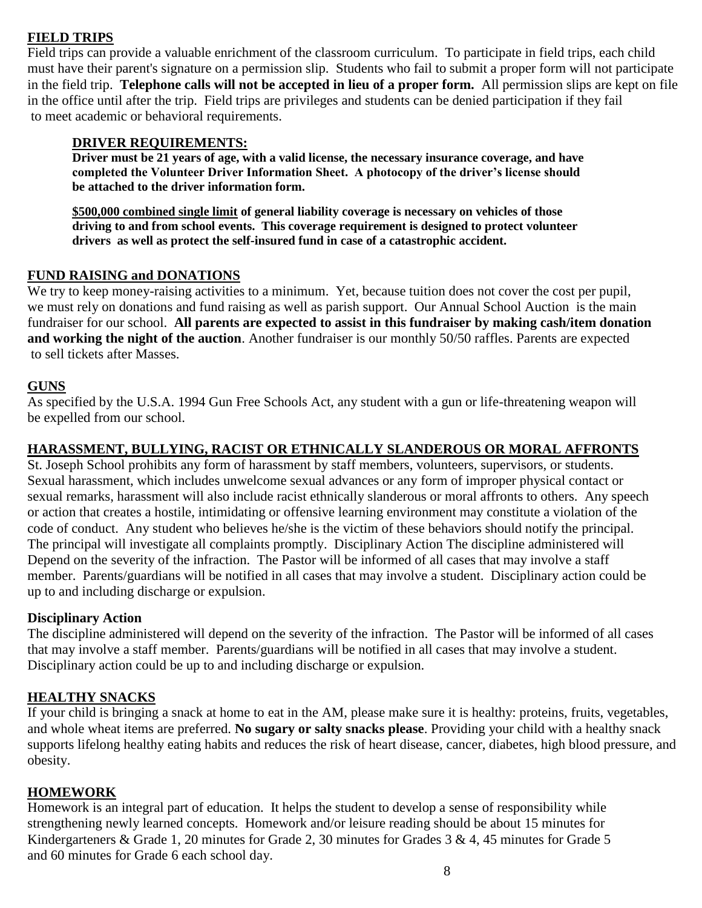#### **FIELD TRIPS**

Field trips can provide a valuable enrichment of the classroom curriculum. To participate in field trips, each child must have their parent's signature on a permission slip. Students who fail to submit a proper form will not participate in the field trip. **Telephone calls will not be accepted in lieu of a proper form.** All permission slips are kept on file in the office until after the trip. Field trips are privileges and students can be denied participation if they fail to meet academic or behavioral requirements.

#### **DRIVER REQUIREMENTS:**

**Driver must be 21 years of age, with a valid license, the necessary insurance coverage, and have completed the Volunteer Driver Information Sheet. A photocopy of the driver's license should be attached to the driver information form.**

**\$500,000 combined single limit of general liability coverage is necessary on vehicles of those driving to and from school events. This coverage requirement is designed to protect volunteer drivers as well as protect the self-insured fund in case of a catastrophic accident.**

#### **FUND RAISING and DONATIONS**

We try to keep money-raising activities to a minimum. Yet, because tuition does not cover the cost per pupil, we must rely on donations and fund raising as well as parish support. Our Annual School Auction is the main fundraiser for our school. **All parents are expected to assist in this fundraiser by making cash/item donation and working the night of the auction**. Another fundraiser is our monthly 50/50 raffles. Parents are expected to sell tickets after Masses.

#### **GUNS**

As specified by the U.S.A. 1994 Gun Free Schools Act, any student with a gun or life-threatening weapon will be expelled from our school.

#### **HARASSMENT, BULLYING, RACIST OR ETHNICALLY SLANDEROUS OR MORAL AFFRONTS**

St. Joseph School prohibits any form of harassment by staff members, volunteers, supervisors, or students. Sexual harassment, which includes unwelcome sexual advances or any form of improper physical contact or sexual remarks, harassment will also include racist ethnically slanderous or moral affronts to others. Any speech or action that creates a hostile, intimidating or offensive learning environment may constitute a violation of the code of conduct. Any student who believes he/she is the victim of these behaviors should notify the principal. The principal will investigate all complaints promptly. Disciplinary Action The discipline administered will Depend on the severity of the infraction. The Pastor will be informed of all cases that may involve a staff member. Parents/guardians will be notified in all cases that may involve a student. Disciplinary action could be up to and including discharge or expulsion.

#### **Disciplinary Action**

The discipline administered will depend on the severity of the infraction. The Pastor will be informed of all cases that may involve a staff member. Parents/guardians will be notified in all cases that may involve a student. Disciplinary action could be up to and including discharge or expulsion.

#### **HEALTHY SNACKS**

If your child is bringing a snack at home to eat in the AM, please make sure it is healthy: proteins, fruits, vegetables, and whole wheat items are preferred. **No sugary or salty snacks please**. Providing your child with a healthy snack supports lifelong healthy eating habits and reduces the risk of heart disease, cancer, diabetes, high blood pressure, and obesity.

#### **HOMEWORK**

Homework is an integral part of education. It helps the student to develop a sense of responsibility while strengthening newly learned concepts. Homework and/or leisure reading should be about 15 minutes for Kindergarteners & Grade 1, 20 minutes for Grade 2, 30 minutes for Grades 3 & 4, 45 minutes for Grade 5 and 60 minutes for Grade 6 each school day.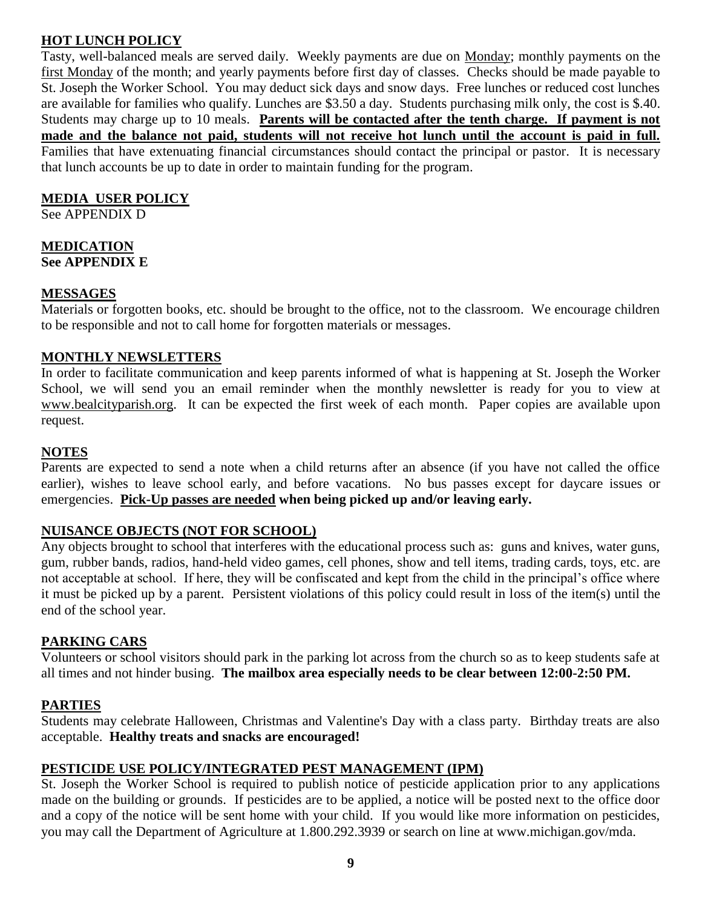#### **HOT LUNCH POLICY**

Tasty, well-balanced meals are served daily. Weekly payments are due on Monday; monthly payments on the first Monday of the month; and yearly payments before first day of classes. Checks should be made payable to St. Joseph the Worker School. You may deduct sick days and snow days. Free lunches or reduced cost lunches are available for families who qualify. Lunches are \$3.50 a day. Students purchasing milk only, the cost is \$.40. Students may charge up to 10 meals. **Parents will be contacted after the tenth charge. If payment is not made and the balance not paid, students will not receive hot lunch until the account is paid in full.** Families that have extenuating financial circumstances should contact the principal or pastor. It is necessary that lunch accounts be up to date in order to maintain funding for the program.

#### **MEDIA USER POLICY**

See APPENDIX D

#### **MEDICATION See APPENDIX E**

#### **MESSAGES**

Materials or forgotten books, etc. should be brought to the office, not to the classroom. We encourage children to be responsible and not to call home for forgotten materials or messages.

#### **MONTHLY NEWSLETTERS**

In order to facilitate communication and keep parents informed of what is happening at St. Joseph the Worker School, we will send you an email reminder when the monthly newsletter is ready for you to view at www.bealcityparish.org. It can be expected the first week of each month. Paper copies are available upon request.

#### **NOTES**

Parents are expected to send a note when a child returns after an absence (if you have not called the office earlier), wishes to leave school early, and before vacations. No bus passes except for daycare issues or emergencies. **Pick-Up passes are needed when being picked up and/or leaving early.** 

#### **NUISANCE OBJECTS (NOT FOR SCHOOL)**

Any objects brought to school that interferes with the educational process such as: guns and knives, water guns, gum, rubber bands, radios, hand-held video games, cell phones, show and tell items, trading cards, toys, etc. are not acceptable at school. If here, they will be confiscated and kept from the child in the principal's office where it must be picked up by a parent. Persistent violations of this policy could result in loss of the item(s) until the end of the school year.

#### **PARKING CARS**

Volunteers or school visitors should park in the parking lot across from the church so as to keep students safe at all times and not hinder busing. **The mailbox area especially needs to be clear between 12:00-2:50 PM.**

#### **PARTIES**

Students may celebrate Halloween, Christmas and Valentine's Day with a class party. Birthday treats are also acceptable. **Healthy treats and snacks are encouraged!**

#### **PESTICIDE USE POLICY/INTEGRATED PEST MANAGEMENT (IPM)**

St. Joseph the Worker School is required to publish notice of pesticide application prior to any applications made on the building or grounds. If pesticides are to be applied, a notice will be posted next to the office door and a copy of the notice will be sent home with your child. If you would like more information on pesticides, you may call the Department of Agriculture at 1.800.292.3939 or search on line at www.michigan.gov/mda.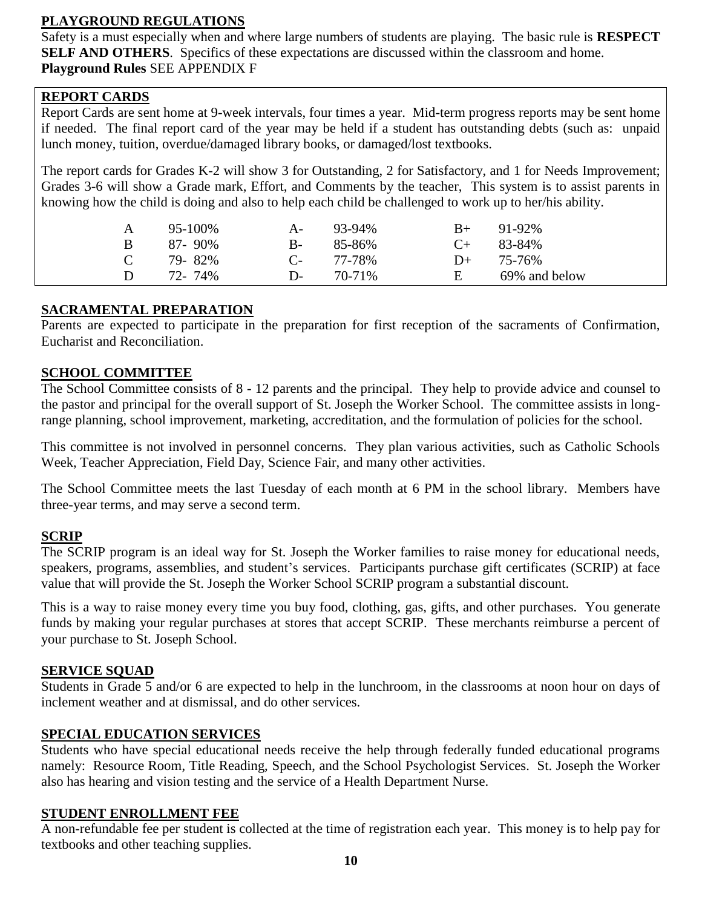#### **PLAYGROUND REGULATIONS**

Safety is a must especially when and where large numbers of students are playing. The basic rule is **RESPECT SELF AND OTHERS**. Specifics of these expectations are discussed within the classroom and home. **Playground Rules** SEE APPENDIX F

#### **REPORT CARDS**

Report Cards are sent home at 9-week intervals, four times a year. Mid-term progress reports may be sent home if needed. The final report card of the year may be held if a student has outstanding debts (such as: unpaid lunch money, tuition, overdue/damaged library books, or damaged/lost textbooks.

The report cards for Grades K-2 will show 3 for Outstanding, 2 for Satisfactory, and 1 for Needs Improvement; Grades 3-6 will show a Grade mark, Effort, and Comments by the teacher, This system is to assist parents in knowing how the child is doing and also to help each child be challenged to work up to her/his ability.

| A              | 95-100%     | $A$ -        | 93-94% | $B+$       | 91-92%        |
|----------------|-------------|--------------|--------|------------|---------------|
| $\overline{B}$ | $87 - 90\%$ | <b>B</b> -   | 85-86% | $\Gamma$ + | 83-84%        |
| $\mathcal{C}$  | 79-82%      | $\mathbf{C}$ | 77-78% | $D+$       | 75-76%        |
| D              | 72-74%      | $\mathbf{D}$ | 70-71% | н.         | 69% and below |

#### **SACRAMENTAL PREPARATION**

Parents are expected to participate in the preparation for first reception of the sacraments of Confirmation, Eucharist and Reconciliation.

#### **SCHOOL COMMITTEE**

The School Committee consists of 8 - 12 parents and the principal. They help to provide advice and counsel to the pastor and principal for the overall support of St. Joseph the Worker School. The committee assists in longrange planning, school improvement, marketing, accreditation, and the formulation of policies for the school.

This committee is not involved in personnel concerns. They plan various activities, such as Catholic Schools Week, Teacher Appreciation, Field Day, Science Fair, and many other activities.

The School Committee meets the last Tuesday of each month at 6 PM in the school library. Members have three-year terms, and may serve a second term.

#### **SCRIP**

The SCRIP program is an ideal way for St. Joseph the Worker families to raise money for educational needs, speakers, programs, assemblies, and student's services. Participants purchase gift certificates (SCRIP) at face value that will provide the St. Joseph the Worker School SCRIP program a substantial discount.

This is a way to raise money every time you buy food, clothing, gas, gifts, and other purchases. You generate funds by making your regular purchases at stores that accept SCRIP. These merchants reimburse a percent of your purchase to St. Joseph School.

#### **SERVICE SQUAD**

Students in Grade 5 and/or 6 are expected to help in the lunchroom, in the classrooms at noon hour on days of inclement weather and at dismissal, and do other services.

#### **SPECIAL EDUCATION SERVICES**

Students who have special educational needs receive the help through federally funded educational programs namely: Resource Room, Title Reading, Speech, and the School Psychologist Services. St. Joseph the Worker also has hearing and vision testing and the service of a Health Department Nurse.

#### **STUDENT ENROLLMENT FEE**

A non-refundable fee per student is collected at the time of registration each year. This money is to help pay for textbooks and other teaching supplies.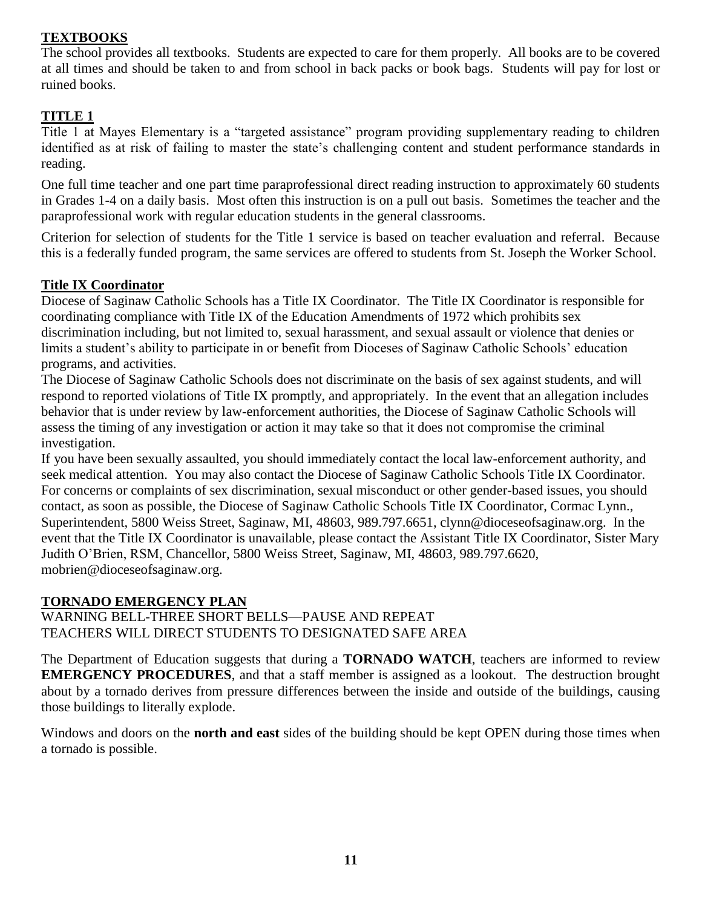#### **TEXTBOOKS**

The school provides all textbooks. Students are expected to care for them properly. All books are to be covered at all times and should be taken to and from school in back packs or book bags. Students will pay for lost or ruined books.

#### **TITLE 1**

Title 1 at Mayes Elementary is a "targeted assistance" program providing supplementary reading to children identified as at risk of failing to master the state's challenging content and student performance standards in reading.

One full time teacher and one part time paraprofessional direct reading instruction to approximately 60 students in Grades 1-4 on a daily basis. Most often this instruction is on a pull out basis. Sometimes the teacher and the paraprofessional work with regular education students in the general classrooms.

Criterion for selection of students for the Title 1 service is based on teacher evaluation and referral. Because this is a federally funded program, the same services are offered to students from St. Joseph the Worker School.

#### **Title IX Coordinator**

Diocese of Saginaw Catholic Schools has a Title IX Coordinator. The Title IX Coordinator is responsible for coordinating compliance with Title IX of the Education Amendments of 1972 which prohibits sex discrimination including, but not limited to, sexual harassment, and sexual assault or violence that denies or limits a student's ability to participate in or benefit from Dioceses of Saginaw Catholic Schools' education programs, and activities.

The Diocese of Saginaw Catholic Schools does not discriminate on the basis of sex against students, and will respond to reported violations of Title IX promptly, and appropriately. In the event that an allegation includes behavior that is under review by law-enforcement authorities, the Diocese of Saginaw Catholic Schools will assess the timing of any investigation or action it may take so that it does not compromise the criminal investigation.

If you have been sexually assaulted, you should immediately contact the local law-enforcement authority, and seek medical attention. You may also contact the Diocese of Saginaw Catholic Schools Title IX Coordinator. For concerns or complaints of sex discrimination, sexual misconduct or other gender-based issues, you should contact, as soon as possible, the Diocese of Saginaw Catholic Schools Title IX Coordinator, Cormac Lynn., Superintendent, 5800 Weiss Street, Saginaw, MI, 48603, 989.797.6651, clynn@dioceseofsaginaw.org. In the event that the Title IX Coordinator is unavailable, please contact the Assistant Title IX Coordinator, Sister Mary Judith O'Brien, RSM, Chancellor, 5800 Weiss Street, Saginaw, MI, 48603, 989.797.6620, mobrien@dioceseofsaginaw.org.

#### **TORNADO EMERGENCY PLAN**

WARNING BELL-THREE SHORT BELLS—PAUSE AND REPEAT TEACHERS WILL DIRECT STUDENTS TO DESIGNATED SAFE AREA

The Department of Education suggests that during a **TORNADO WATCH**, teachers are informed to review **EMERGENCY PROCEDURES**, and that a staff member is assigned as a lookout. The destruction brought about by a tornado derives from pressure differences between the inside and outside of the buildings, causing those buildings to literally explode.

Windows and doors on the **north and east** sides of the building should be kept OPEN during those times when a tornado is possible.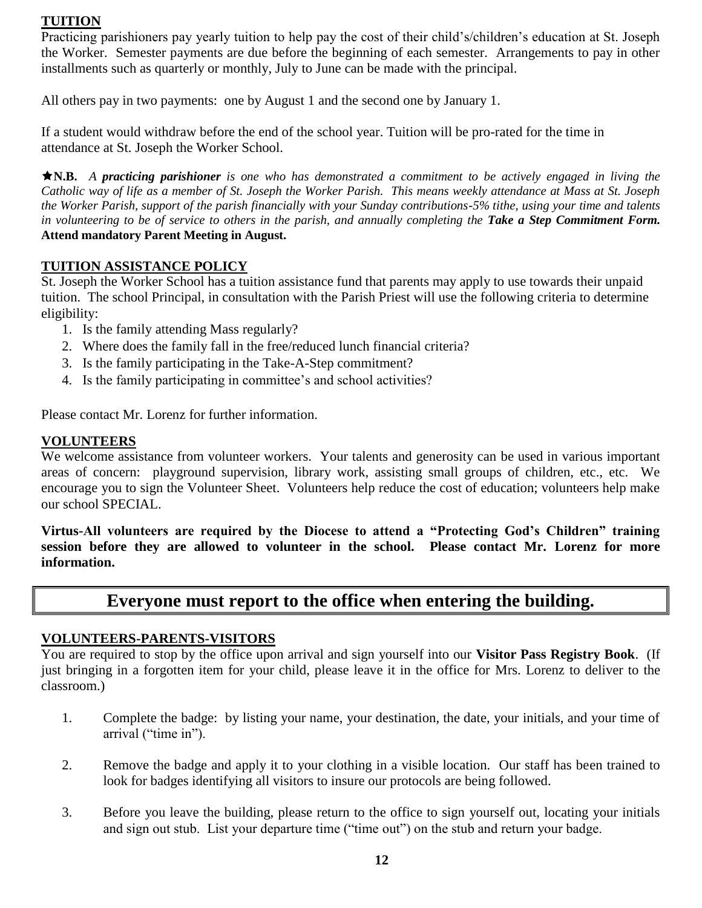#### **TUITION**

Practicing parishioners pay yearly tuition to help pay the cost of their child's/children's education at St. Joseph the Worker. Semester payments are due before the beginning of each semester. Arrangements to pay in other installments such as quarterly or monthly, July to June can be made with the principal.

All others pay in two payments: one by August 1 and the second one by January 1.

If a student would withdraw before the end of the school year. Tuition will be pro-rated for the time in attendance at St. Joseph the Worker School.

**N.B.** *A practicing parishioner is one who has demonstrated a commitment to be actively engaged in living the Catholic way of life as a member of St. Joseph the Worker Parish. This means weekly attendance at Mass at St. Joseph the Worker Parish, support of the parish financially with your Sunday contributions-5% tithe, using your time and talents in volunteering to be of service to others in the parish, and annually completing the Take a Step Commitment Form.* **Attend mandatory Parent Meeting in August.** 

#### **TUITION ASSISTANCE POLICY**

St. Joseph the Worker School has a tuition assistance fund that parents may apply to use towards their unpaid tuition. The school Principal, in consultation with the Parish Priest will use the following criteria to determine eligibility:

- 1. Is the family attending Mass regularly?
- 2. Where does the family fall in the free/reduced lunch financial criteria?
- 3. Is the family participating in the Take-A-Step commitment?
- 4. Is the family participating in committee's and school activities?

Please contact Mr. Lorenz for further information.

#### **VOLUNTEERS**

We welcome assistance from volunteer workers. Your talents and generosity can be used in various important areas of concern: playground supervision, library work, assisting small groups of children, etc., etc. We encourage you to sign the Volunteer Sheet. Volunteers help reduce the cost of education; volunteers help make our school SPECIAL.

**Virtus-All volunteers are required by the Diocese to attend a "Protecting God's Children" training session before they are allowed to volunteer in the school. Please contact Mr. Lorenz for more information.**

## **Everyone must report to the office when entering the building.**

#### **VOLUNTEERS-PARENTS-VISITORS**

You are required to stop by the office upon arrival and sign yourself into our **Visitor Pass Registry Book**. (If just bringing in a forgotten item for your child, please leave it in the office for Mrs. Lorenz to deliver to the classroom.)

- 1. Complete the badge: by listing your name, your destination, the date, your initials, and your time of arrival ("time in").
- 2. Remove the badge and apply it to your clothing in a visible location. Our staff has been trained to look for badges identifying all visitors to insure our protocols are being followed.
- 3. Before you leave the building, please return to the office to sign yourself out, locating your initials and sign out stub. List your departure time ("time out") on the stub and return your badge.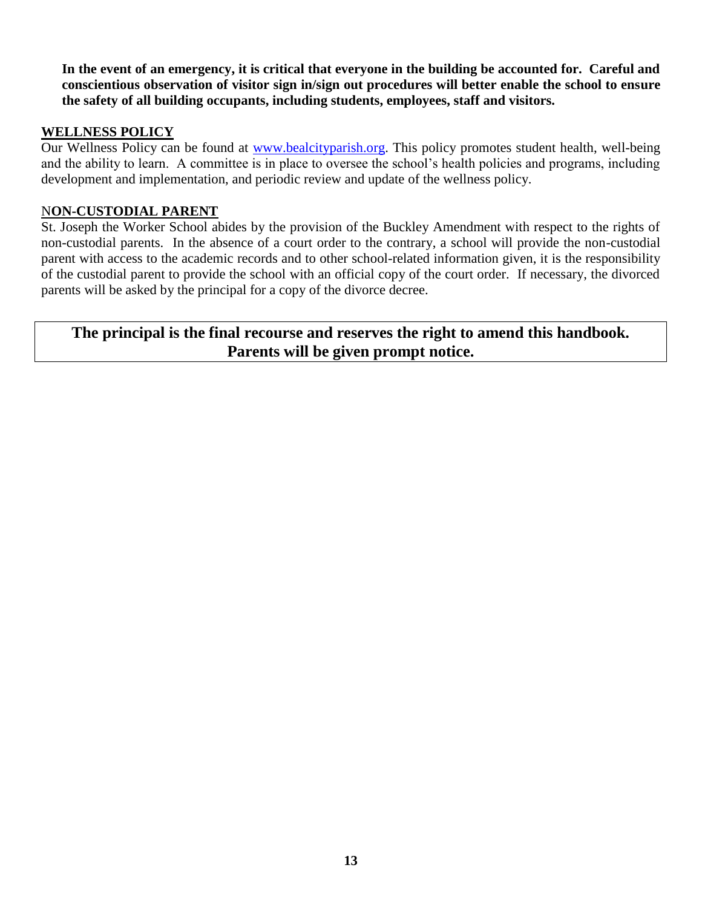**In the event of an emergency, it is critical that everyone in the building be accounted for. Careful and conscientious observation of visitor sign in/sign out procedures will better enable the school to ensure the safety of all building occupants, including students, employees, staff and visitors.**

#### **WELLNESS POLICY**

Our Wellness Policy can be found at [www.bealcityparish.org.](http://www.bealcityparish.org/) This policy promotes student health, well-being and the ability to learn. A committee is in place to oversee the school's health policies and programs, including development and implementation, and periodic review and update of the wellness policy.

#### N**ON-CUSTODIAL PARENT**

St. Joseph the Worker School abides by the provision of the Buckley Amendment with respect to the rights of non-custodial parents. In the absence of a court order to the contrary, a school will provide the non-custodial parent with access to the academic records and to other school-related information given, it is the responsibility of the custodial parent to provide the school with an official copy of the court order. If necessary, the divorced parents will be asked by the principal for a copy of the divorce decree.

#### **The principal is the final recourse and reserves the right to amend this handbook. Parents will be given prompt notice.**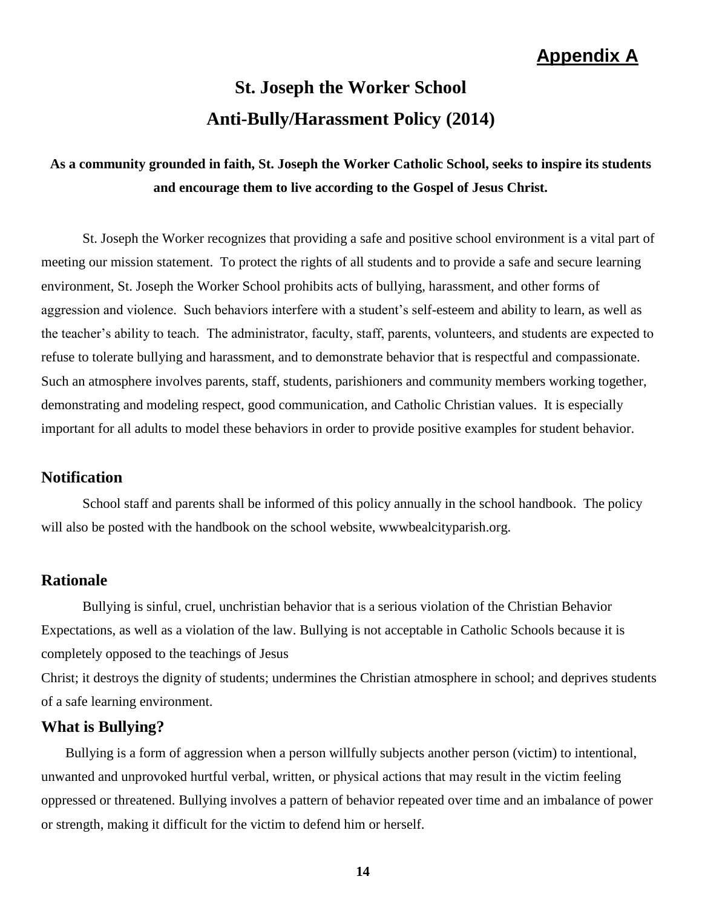## **Appendix A**

# **St. Joseph the Worker School Anti-Bully/Harassment Policy (2014)**

## **As a community grounded in faith, St. Joseph the Worker Catholic School, seeks to inspire its students and encourage them to live according to the Gospel of Jesus Christ.**

St. Joseph the Worker recognizes that providing a safe and positive school environment is a vital part of meeting our mission statement. To protect the rights of all students and to provide a safe and secure learning environment, St. Joseph the Worker School prohibits acts of bullying, harassment, and other forms of aggression and violence. Such behaviors interfere with a student's self-esteem and ability to learn, as well as the teacher's ability to teach. The administrator, faculty, staff, parents, volunteers, and students are expected to refuse to tolerate bullying and harassment, and to demonstrate behavior that is respectful and compassionate. Such an atmosphere involves parents, staff, students, parishioners and community members working together, demonstrating and modeling respect, good communication, and Catholic Christian values. It is especially important for all adults to model these behaviors in order to provide positive examples for student behavior.

#### **Notification**

School staff and parents shall be informed of this policy annually in the school handbook. The policy will also be posted with the handbook on the school website, wwwbealcityparish.org.

#### **Rationale**

Bullying is sinful, cruel, unchristian behavior that is a serious violation of the Christian Behavior Expectations, as well as a violation of the law. Bullying is not acceptable in Catholic Schools because it is completely opposed to the teachings of Jesus

Christ; it destroys the dignity of students; undermines the Christian atmosphere in school; and deprives students of a safe learning environment.

#### **What is Bullying?**

Bullying is a form of aggression when a person willfully subjects another person (victim) to intentional, unwanted and unprovoked hurtful verbal, written, or physical actions that may result in the victim feeling oppressed or threatened. Bullying involves a pattern of behavior repeated over time and an imbalance of power or strength, making it difficult for the victim to defend him or herself.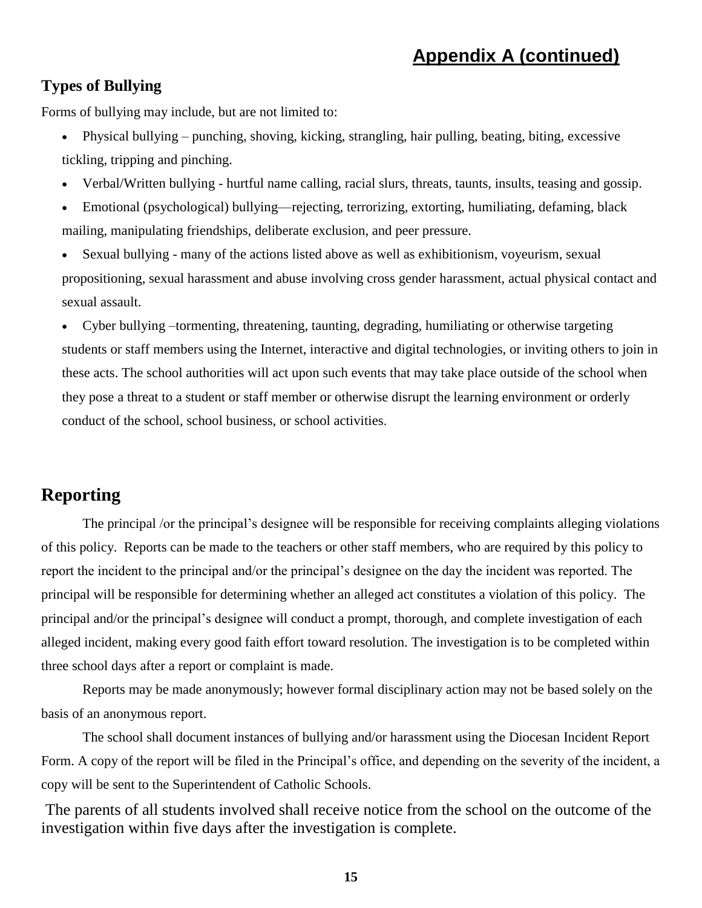## **Appendix A (continued)**

#### **Types of Bullying**

Forms of bullying may include, but are not limited to:

- Physical bullying punching, shoving, kicking, strangling, hair pulling, beating, biting, excessive tickling, tripping and pinching.
- Verbal/Written bullying hurtful name calling, racial slurs, threats, taunts, insults, teasing and gossip.
- Emotional (psychological) bullying—rejecting, terrorizing, extorting, humiliating, defaming, black mailing, manipulating friendships, deliberate exclusion, and peer pressure.
- Sexual bullying many of the actions listed above as well as exhibitionism, voyeurism, sexual propositioning, sexual harassment and abuse involving cross gender harassment, actual physical contact and sexual assault.

 Cyber bullying –tormenting, threatening, taunting, degrading, humiliating or otherwise targeting students or staff members using the Internet, interactive and digital technologies, or inviting others to join in these acts. The school authorities will act upon such events that may take place outside of the school when they pose a threat to a student or staff member or otherwise disrupt the learning environment or orderly conduct of the school, school business, or school activities.

## **Reporting**

The principal /or the principal's designee will be responsible for receiving complaints alleging violations of this policy. Reports can be made to the teachers or other staff members, who are required by this policy to report the incident to the principal and/or the principal's designee on the day the incident was reported. The principal will be responsible for determining whether an alleged act constitutes a violation of this policy. The principal and/or the principal's designee will conduct a prompt, thorough, and complete investigation of each alleged incident, making every good faith effort toward resolution. The investigation is to be completed within three school days after a report or complaint is made.

Reports may be made anonymously; however formal disciplinary action may not be based solely on the basis of an anonymous report.

The school shall document instances of bullying and/or harassment using the Diocesan Incident Report Form. A copy of the report will be filed in the Principal's office, and depending on the severity of the incident, a copy will be sent to the Superintendent of Catholic Schools.

The parents of all students involved shall receive notice from the school on the outcome of the investigation within five days after the investigation is complete.

**15**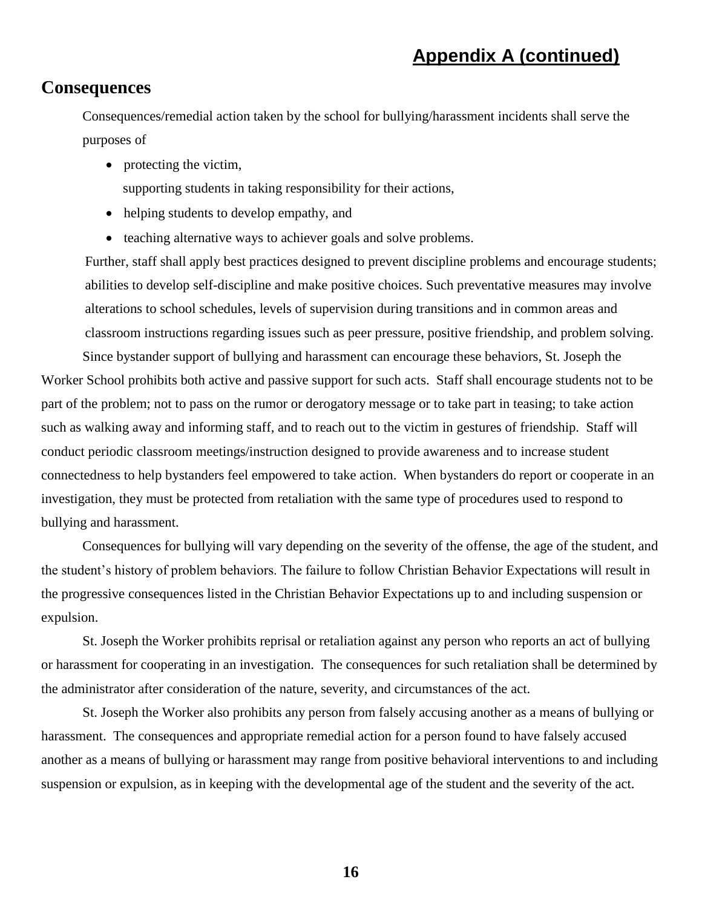#### **Consequences**

Consequences/remedial action taken by the school for bullying/harassment incidents shall serve the purposes of

• protecting the victim,

supporting students in taking responsibility for their actions,

- helping students to develop empathy, and
- teaching alternative ways to achiever goals and solve problems.

Further, staff shall apply best practices designed to prevent discipline problems and encourage students; abilities to develop self-discipline and make positive choices. Such preventative measures may involve alterations to school schedules, levels of supervision during transitions and in common areas and classroom instructions regarding issues such as peer pressure, positive friendship, and problem solving.

Since bystander support of bullying and harassment can encourage these behaviors, St. Joseph the Worker School prohibits both active and passive support for such acts. Staff shall encourage students not to be part of the problem; not to pass on the rumor or derogatory message or to take part in teasing; to take action such as walking away and informing staff, and to reach out to the victim in gestures of friendship. Staff will conduct periodic classroom meetings/instruction designed to provide awareness and to increase student connectedness to help bystanders feel empowered to take action. When bystanders do report or cooperate in an investigation, they must be protected from retaliation with the same type of procedures used to respond to bullying and harassment.

Consequences for bullying will vary depending on the severity of the offense, the age of the student, and the student's history of problem behaviors. The failure to follow Christian Behavior Expectations will result in the progressive consequences listed in the Christian Behavior Expectations up to and including suspension or expulsion.

St. Joseph the Worker prohibits reprisal or retaliation against any person who reports an act of bullying or harassment for cooperating in an investigation. The consequences for such retaliation shall be determined by the administrator after consideration of the nature, severity, and circumstances of the act.

St. Joseph the Worker also prohibits any person from falsely accusing another as a means of bullying or harassment. The consequences and appropriate remedial action for a person found to have falsely accused another as a means of bullying or harassment may range from positive behavioral interventions to and including suspension or expulsion, as in keeping with the developmental age of the student and the severity of the act.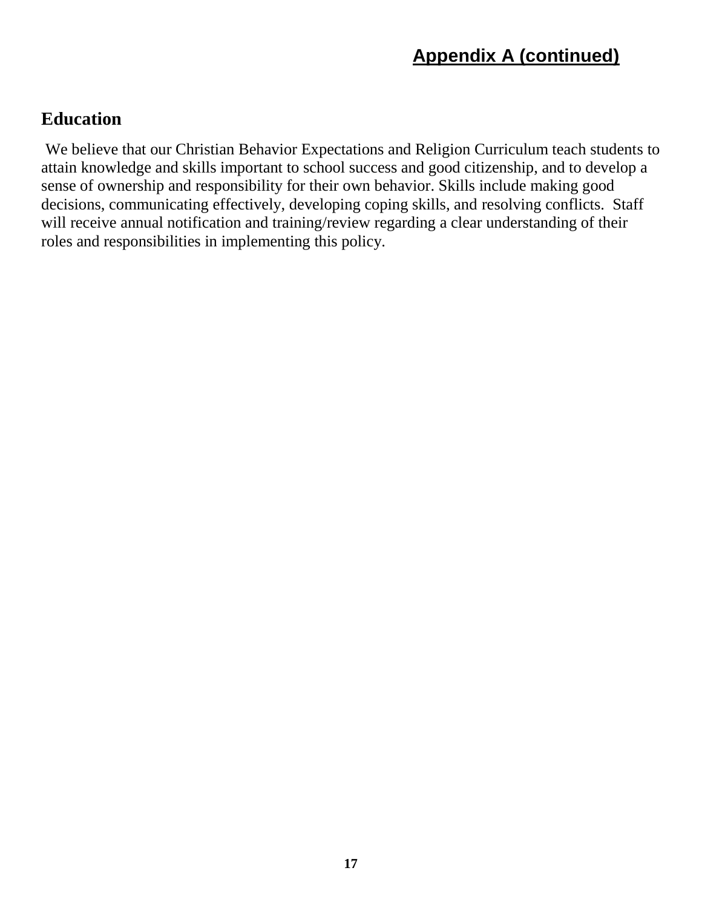## **Education**

We believe that our Christian Behavior Expectations and Religion Curriculum teach students to attain knowledge and skills important to school success and good citizenship, and to develop a sense of ownership and responsibility for their own behavior. Skills include making good decisions, communicating effectively, developing coping skills, and resolving conflicts. Staff will receive annual notification and training/review regarding a clear understanding of their roles and responsibilities in implementing this policy.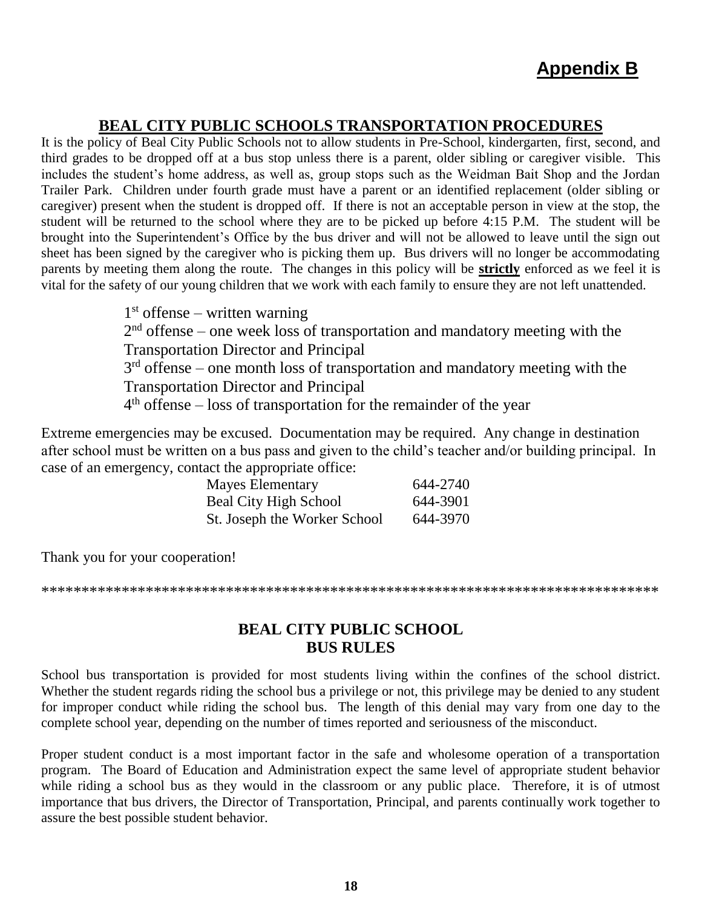### **BEAL CITY PUBLIC SCHOOLS TRANSPORTATION PROCEDURES**

It is the policy of Beal City Public Schools not to allow students in Pre-School, kindergarten, first, second, and third grades to be dropped off at a bus stop unless there is a parent, older sibling or caregiver visible. This includes the student's home address, as well as, group stops such as the Weidman Bait Shop and the Jordan Trailer Park. Children under fourth grade must have a parent or an identified replacement (older sibling or caregiver) present when the student is dropped off. If there is not an acceptable person in view at the stop, the student will be returned to the school where they are to be picked up before 4:15 P.M. The student will be brought into the Superintendent's Office by the bus driver and will not be allowed to leave until the sign out sheet has been signed by the caregiver who is picking them up. Bus drivers will no longer be accommodating parents by meeting them along the route. The changes in this policy will be **strictly** enforced as we feel it is vital for the safety of our young children that we work with each family to ensure they are not left unattended.

> 1 st offense – written warning  $2<sup>nd</sup>$  offense – one week loss of transportation and mandatory meeting with the Transportation Director and Principal 3<sup>rd</sup> offense – one month loss of transportation and mandatory meeting with the Transportation Director and Principal 4<sup>th</sup> offense – loss of transportation for the remainder of the year

Extreme emergencies may be excused. Documentation may be required. Any change in destination after school must be written on a bus pass and given to the child's teacher and/or building principal. In case of an emergency, contact the appropriate office:

| <b>Mayes Elementary</b>      | 644-2740 |
|------------------------------|----------|
| <b>Beal City High School</b> | 644-3901 |
| St. Joseph the Worker School | 644-3970 |

Thank you for your cooperation!

\*\*\*\*\*\*\*\*\*\*\*\*\*\*\*\*\*\*\*\*\*\*\*\*\*\*\*\*\*\*\*\*\*\*\*\*\*\*\*\*\*\*\*\*\*\*\*\*\*\*\*\*\*\*\*\*\*\*\*\*\*\*\*\*\*\*\*\*\*\*\*\*\*\*\*\*\*

#### **BEAL CITY PUBLIC SCHOOL BUS RULES**

School bus transportation is provided for most students living within the confines of the school district. Whether the student regards riding the school bus a privilege or not, this privilege may be denied to any student for improper conduct while riding the school bus. The length of this denial may vary from one day to the complete school year, depending on the number of times reported and seriousness of the misconduct.

Proper student conduct is a most important factor in the safe and wholesome operation of a transportation program. The Board of Education and Administration expect the same level of appropriate student behavior while riding a school bus as they would in the classroom or any public place. Therefore, it is of utmost importance that bus drivers, the Director of Transportation, Principal, and parents continually work together to assure the best possible student behavior.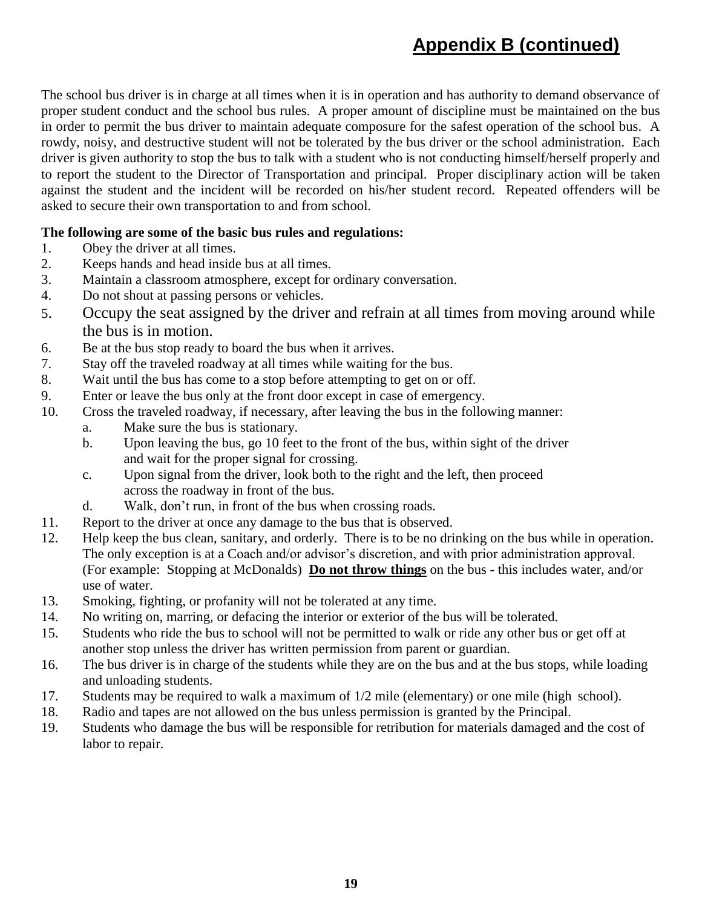# **Appendix B (continued)**

The school bus driver is in charge at all times when it is in operation and has authority to demand observance of proper student conduct and the school bus rules. A proper amount of discipline must be maintained on the bus in order to permit the bus driver to maintain adequate composure for the safest operation of the school bus. A rowdy, noisy, and destructive student will not be tolerated by the bus driver or the school administration. Each driver is given authority to stop the bus to talk with a student who is not conducting himself/herself properly and to report the student to the Director of Transportation and principal. Proper disciplinary action will be taken against the student and the incident will be recorded on his/her student record. Repeated offenders will be asked to secure their own transportation to and from school.

#### **The following are some of the basic bus rules and regulations:**

- 1. Obey the driver at all times.
- 2. Keeps hands and head inside bus at all times.
- 3. Maintain a classroom atmosphere, except for ordinary conversation.
- 4. Do not shout at passing persons or vehicles.
- 5. Occupy the seat assigned by the driver and refrain at all times from moving around while the bus is in motion.
- 6. Be at the bus stop ready to board the bus when it arrives.
- 7. Stay off the traveled roadway at all times while waiting for the bus.
- 8. Wait until the bus has come to a stop before attempting to get on or off.
- 9. Enter or leave the bus only at the front door except in case of emergency.
- 10. Cross the traveled roadway, if necessary, after leaving the bus in the following manner:
	- a. Make sure the bus is stationary.
	- b. Upon leaving the bus, go 10 feet to the front of the bus, within sight of the driver and wait for the proper signal for crossing.
	- c. Upon signal from the driver, look both to the right and the left, then proceed across the roadway in front of the bus.
	- d. Walk, don't run, in front of the bus when crossing roads.
- 11. Report to the driver at once any damage to the bus that is observed.
- 12. Help keep the bus clean, sanitary, and orderly. There is to be no drinking on the bus while in operation. The only exception is at a Coach and/or advisor's discretion, and with prior administration approval. (For example: Stopping at McDonalds) **Do not throw things** on the bus - this includes water, and/or use of water.
- 13. Smoking, fighting, or profanity will not be tolerated at any time.
- 14. No writing on, marring, or defacing the interior or exterior of the bus will be tolerated.
- 15. Students who ride the bus to school will not be permitted to walk or ride any other bus or get off at another stop unless the driver has written permission from parent or guardian.
- 16. The bus driver is in charge of the students while they are on the bus and at the bus stops, while loading and unloading students.
- 17. Students may be required to walk a maximum of 1/2 mile (elementary) or one mile (high school).
- 18. Radio and tapes are not allowed on the bus unless permission is granted by the Principal.
- 19. Students who damage the bus will be responsible for retribution for materials damaged and the cost of labor to repair.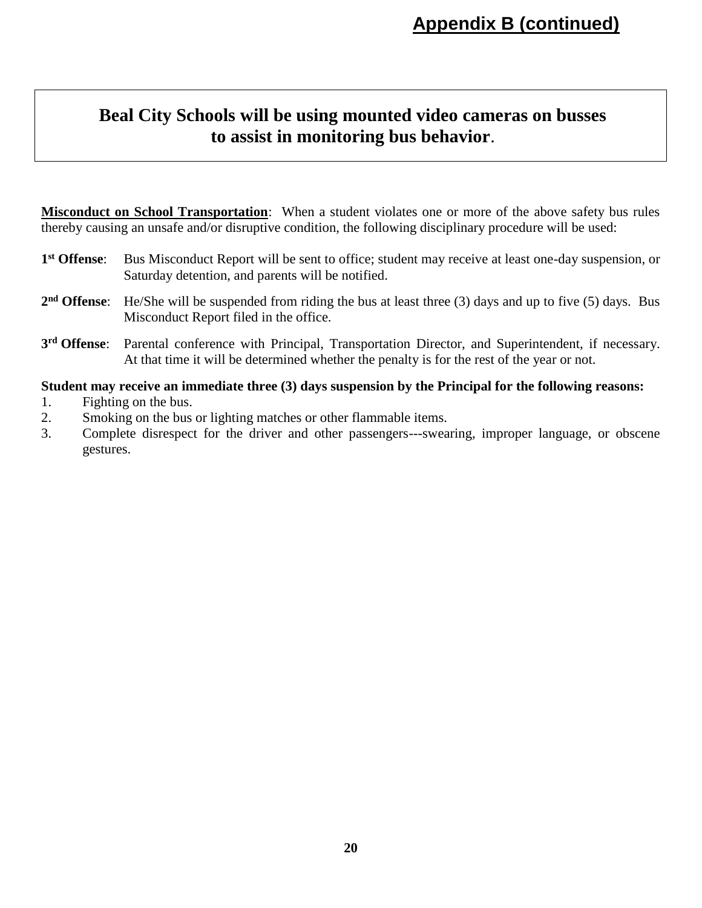## **Beal City Schools will be using mounted video cameras on busses to assist in monitoring bus behavior**.

**Misconduct on School Transportation**: When a student violates one or more of the above safety bus rules thereby causing an unsafe and/or disruptive condition, the following disciplinary procedure will be used:

- 1<sup>st</sup> Offense: Bus Misconduct Report will be sent to office; student may receive at least one-day suspension, or Saturday detention, and parents will be notified.
- **2 nd Offense**: He/She will be suspended from riding the bus at least three (3) days and up to five (5) days. Bus Misconduct Report filed in the office.
- 3<sup>rd</sup> Offense: Parental conference with Principal, Transportation Director, and Superintendent, if necessary. At that time it will be determined whether the penalty is for the rest of the year or not.

#### **Student may receive an immediate three (3) days suspension by the Principal for the following reasons:**

- 1. Fighting on the bus.
- 2. Smoking on the bus or lighting matches or other flammable items.
- 3. Complete disrespect for the driver and other passengers---swearing, improper language, or obscene gestures.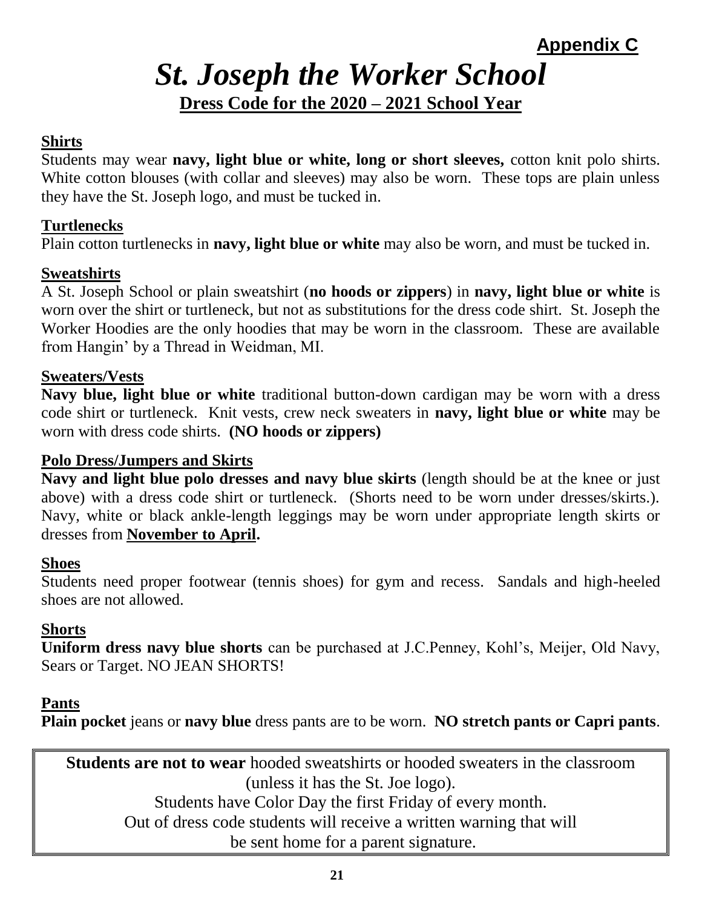**Appendix C**

# *St. Joseph the Worker School* **Dress Code for the 2020 – 2021 School Year**

## **Shirts**

Students may wear **navy, light blue or white, long or short sleeves,** cotton knit polo shirts. White cotton blouses (with collar and sleeves) may also be worn. These tops are plain unless they have the St. Joseph logo, and must be tucked in.

#### **Turtlenecks**

Plain cotton turtlenecks in **navy, light blue or white** may also be worn, and must be tucked in.

### **Sweatshirts**

A St. Joseph School or plain sweatshirt (**no hoods or zippers**) in **navy, light blue or white** is worn over the shirt or turtleneck, but not as substitutions for the dress code shirt. St. Joseph the Worker Hoodies are the only hoodies that may be worn in the classroom. These are available from Hangin' by a Thread in Weidman, MI.

#### **Sweaters/Vests**

**Navy blue, light blue or white** traditional button-down cardigan may be worn with a dress code shirt or turtleneck. Knit vests, crew neck sweaters in **navy, light blue or white** may be worn with dress code shirts. **(NO hoods or zippers)**

#### **Polo Dress/Jumpers and Skirts**

**Navy and light blue polo dresses and navy blue skirts** (length should be at the knee or just above) with a dress code shirt or turtleneck. (Shorts need to be worn under dresses/skirts.). Navy, white or black ankle-length leggings may be worn under appropriate length skirts or dresses from **November to April.**

#### **Shoes**

Students need proper footwear (tennis shoes) for gym and recess. Sandals and high-heeled shoes are not allowed.

#### **Shorts**

**Uniform dress navy blue shorts** can be purchased at J.C.Penney, Kohl's, Meijer, Old Navy, Sears or Target. NO JEAN SHORTS!

#### **Pants**

**Plain pocket** jeans or **navy blue** dress pants are to be worn. **NO stretch pants or Capri pants**.

**Students are not to wear** hooded sweatshirts or hooded sweaters in the classroom (unless it has the St. Joe logo). Students have Color Day the first Friday of every month. Out of dress code students will receive a written warning that will be sent home for a parent signature.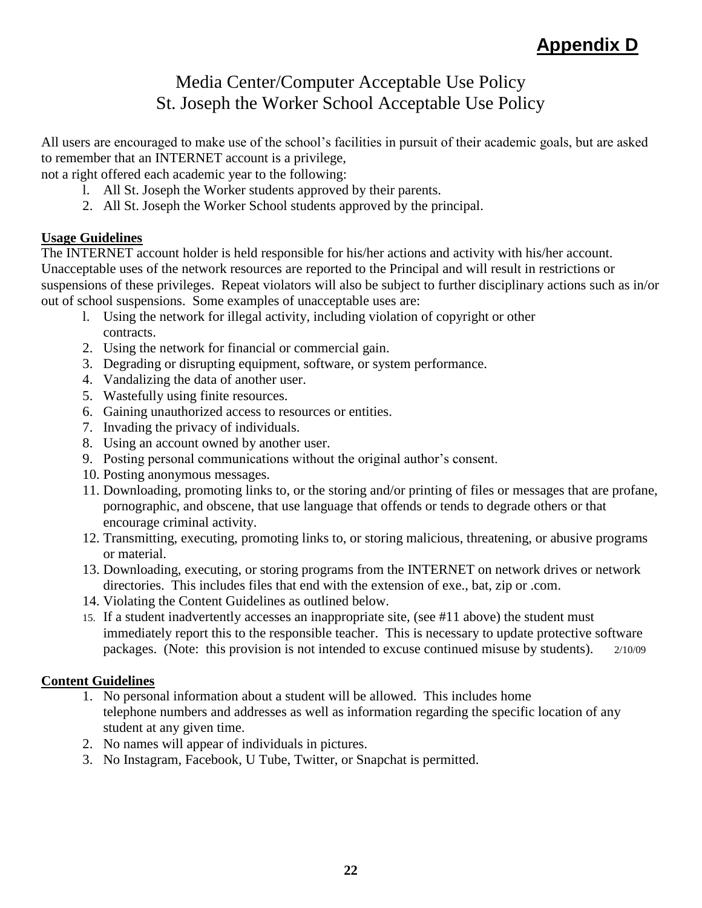## Media Center/Computer Acceptable Use Policy St. Joseph the Worker School Acceptable Use Policy

All users are encouraged to make use of the school's facilities in pursuit of their academic goals, but are asked to remember that an INTERNET account is a privilege,

not a right offered each academic year to the following:

- l. All St. Joseph the Worker students approved by their parents.
- 2. All St. Joseph the Worker School students approved by the principal.

#### **Usage Guidelines**

The INTERNET account holder is held responsible for his/her actions and activity with his/her account. Unacceptable uses of the network resources are reported to the Principal and will result in restrictions or suspensions of these privileges. Repeat violators will also be subject to further disciplinary actions such as in/or out of school suspensions. Some examples of unacceptable uses are:

- l. Using the network for illegal activity, including violation of copyright or other contracts.
- 2. Using the network for financial or commercial gain.
- 3. Degrading or disrupting equipment, software, or system performance.
- 4. Vandalizing the data of another user.
- 5. Wastefully using finite resources.
- 6. Gaining unauthorized access to resources or entities.
- 7. Invading the privacy of individuals.
- 8. Using an account owned by another user.
- 9. Posting personal communications without the original author's consent.
- 10. Posting anonymous messages.
- 11. Downloading, promoting links to, or the storing and/or printing of files or messages that are profane, pornographic, and obscene, that use language that offends or tends to degrade others or that encourage criminal activity.
- 12. Transmitting, executing, promoting links to, or storing malicious, threatening, or abusive programs or material.
- 13. Downloading, executing, or storing programs from the INTERNET on network drives or network directories. This includes files that end with the extension of exe., bat, zip or .com.
- 14. Violating the Content Guidelines as outlined below.
- 15. If a student inadvertently accesses an inappropriate site, (see #11 above) the student must immediately report this to the responsible teacher. This is necessary to update protective software packages. (Note: this provision is not intended to excuse continued misuse by students). 2/10/09

#### **Content Guidelines**

- 1. No personal information about a student will be allowed. This includes home telephone numbers and addresses as well as information regarding the specific location of any student at any given time.
- 2. No names will appear of individuals in pictures.
- 3. No Instagram, Facebook, U Tube, Twitter, or Snapchat is permitted.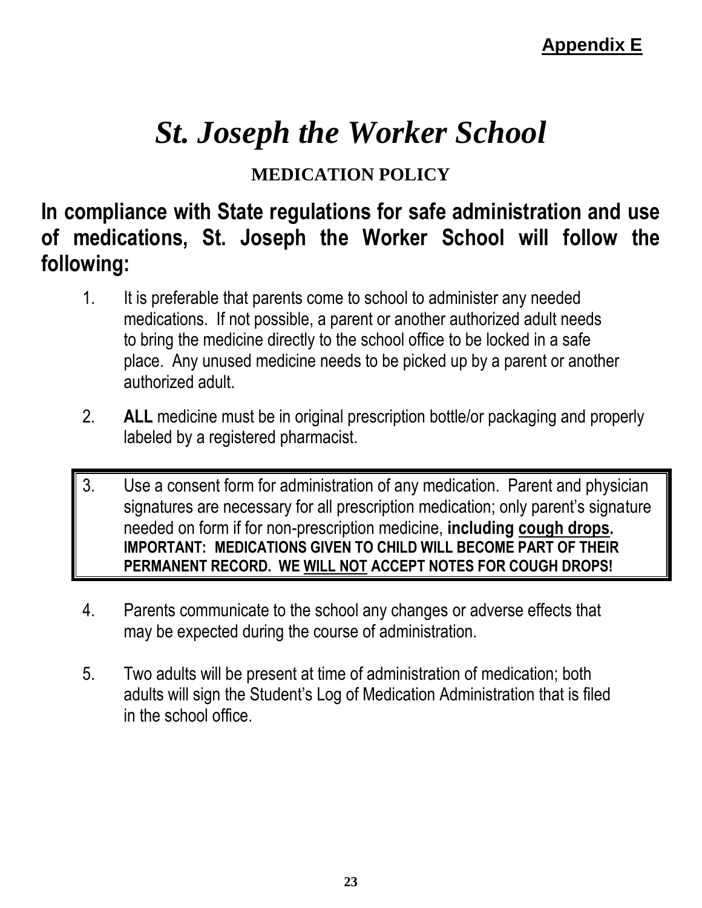# *St. Joseph the Worker School*

## **MEDICATION POLICY**

# **In compliance with State regulations for safe administration and use of medications, St. Joseph the Worker School will follow the following:**

- 1. It is preferable that parents come to school to administer any needed medications. If not possible, a parent or another authorized adult needs to bring the medicine directly to the school office to be locked in a safe place. Any unused medicine needs to be picked up by a parent or another authorized adult.
- 2. **ALL** medicine must be in original prescription bottle/or packaging and properly labeled by a registered pharmacist.
- 3. Use a consent form for administration of any medication. Parent and physician signatures are necessary for all prescription medication; only parent's signature needed on form if for non-prescription medicine, **including cough drops. IMPORTANT: MEDICATIONS GIVEN TO CHILD WILL BECOME PART OF THEIR PERMANENT RECORD. WE WILL NOT ACCEPT NOTES FOR COUGH DROPS!**
- 4. Parents communicate to the school any changes or adverse effects that may be expected during the course of administration.
- 5. Two adults will be present at time of administration of medication; both adults will sign the Student's Log of Medication Administration that is filed in the school office.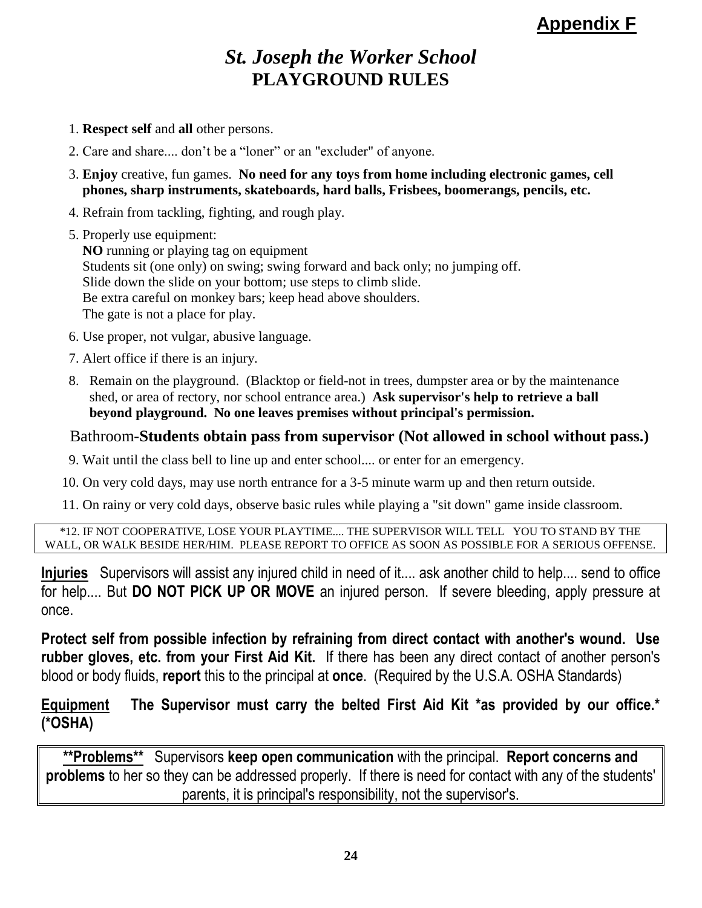## **Appendix F**

## *St. Joseph the Worker School* **PLAYGROUND RULES**

- 1. **Respect self** and **all** other persons.
- 2. Care and share.... don't be a "loner" or an "excluder" of anyone.
- 3. **Enjoy** creative, fun games. **No need for any toys from home including electronic games, cell phones, sharp instruments, skateboards, hard balls, Frisbees, boomerangs, pencils, etc.**
- 4. Refrain from tackling, fighting, and rough play.
- 5. Properly use equipment:

**NO** running or playing tag on equipment Students sit (one only) on swing; swing forward and back only; no jumping off. Slide down the slide on your bottom; use steps to climb slide. Be extra careful on monkey bars; keep head above shoulders. The gate is not a place for play.

- 6. Use proper, not vulgar, abusive language.
- 7. Alert office if there is an injury.
- 8. Remain on the playground. (Blacktop or field-not in trees, dumpster area or by the maintenance shed, or area of rectory, nor school entrance area.) **Ask supervisor's help to retrieve a ball beyond playground. No one leaves premises without principal's permission.**

#### Bathroom**-Students obtain pass from supervisor (Not allowed in school without pass.)**

9. Wait until the class bell to line up and enter school.... or enter for an emergency.

10. On very cold days, may use north entrance for a 3-5 minute warm up and then return outside.

11. On rainy or very cold days, observe basic rules while playing a "sit down" game inside classroom.

\*12. IF NOT COOPERATIVE, LOSE YOUR PLAYTIME.... THE SUPERVISOR WILL TELL YOU TO STAND BY THE WALL, OR WALK BESIDE HER/HIM. PLEASE REPORT TO OFFICE AS SOON AS POSSIBLE FOR A SERIOUS OFFENSE.

**Injuries** Supervisors will assist any injured child in need of it.... ask another child to help.... send to office for help.... But **DO NOT PICK UP OR MOVE** an injured person. If severe bleeding, apply pressure at once.

**Protect self from possible infection by refraining from direct contact with another's wound. Use rubber gloves, etc. from your First Aid Kit.** If there has been any direct contact of another person's blood or body fluids, **report** this to the principal at **once**. (Required by the U.S.A. OSHA Standards)

**Equipment The Supervisor must carry the belted First Aid Kit \*as provided by our office.\* (\*OSHA)** 

**\*\*Problems\*\*** Supervisors **keep open communication** with the principal. **Report concerns and problems** to her so they can be addressed properly. If there is need for contact with any of the students' parents, it is principal's responsibility, not the supervisor's.